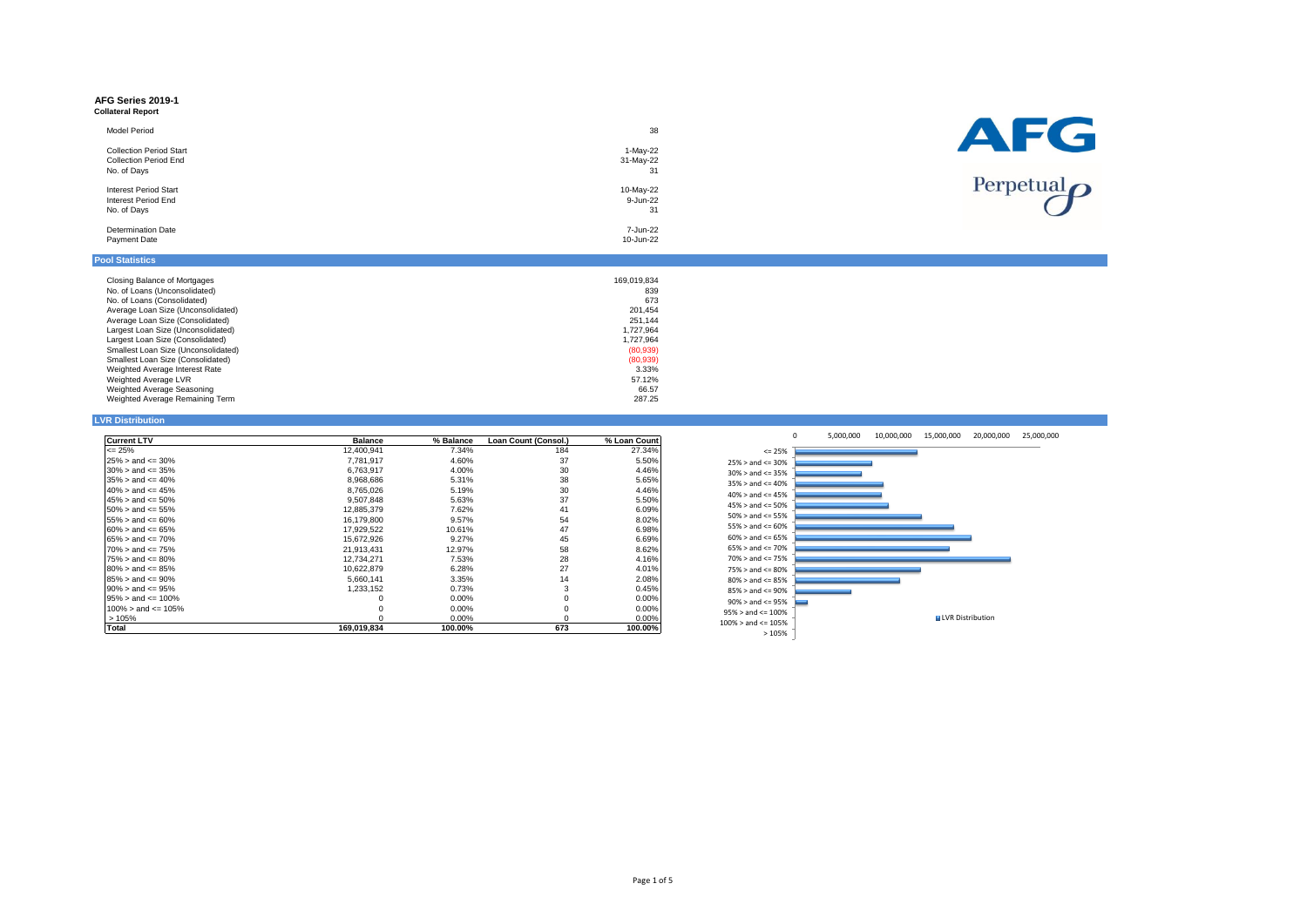#### **AFG Series 2019-1 Collateral Report**

| <b>Model Period</b>            | 38        |
|--------------------------------|-----------|
| <b>Collection Period Start</b> | 1-May-22  |
| <b>Collection Period End</b>   | 31-May-22 |
| No. of Days                    | 31        |
| <b>Interest Period Start</b>   | 10-May-22 |
| Interest Period End            | 9-Jun-22  |
| No. of Days                    | 31        |
| <b>Determination Date</b>      | 7-Jun-22  |
| Payment Date                   | 10-Jun-22 |
|                                |           |



## **Pool Statistics**

| Closing Balance of Mortgages        | 169.019.834 |
|-------------------------------------|-------------|
| No. of Loans (Unconsolidated)       | 839         |
| No. of Loans (Consolidated)         | 673         |
| Average Loan Size (Unconsolidated)  | 201.454     |
| Average Loan Size (Consolidated)    | 251.144     |
| Largest Loan Size (Unconsolidated)  | 1.727.964   |
| Largest Loan Size (Consolidated)    | 1.727.964   |
| Smallest Loan Size (Unconsolidated) | (80,939)    |
| Smallest Loan Size (Consolidated)   | (80,939)    |
| Weighted Average Interest Rate      | 3.33%       |
| Weighted Average LVR                | 57.12%      |
| Weighted Average Seasoning          | 66.57       |
| Weighted Average Remaining Term     | 287.25      |

# **LVR Distribution**

| <b>Current LTV</b>         | <b>Balance</b> | % Balance | Loan Count (Consol.) | % Loan Count |
|----------------------------|----------------|-----------|----------------------|--------------|
| $\leq$ 25%                 | 12,400,941     | 7.34%     | 184                  | 27.34%       |
| $25\% >$ and $\leq 30\%$   | 7.781.917      | 4.60%     | 37                   | 5.50%        |
| $30\% >$ and $\leq 35\%$   | 6,763,917      | 4.00%     | 30                   | 4.46%        |
| $35\% >$ and $\leq 40\%$   | 8.968.686      | 5.31%     | 38                   | 5.65%        |
| $40\% >$ and $\leq 45\%$   | 8.765.026      | 5.19%     | 30                   | 4.46%        |
| $45\% >$ and $\leq 50\%$   | 9.507.848      | 5.63%     | 37                   | 5.50%        |
| $50\% >$ and $\leq 55\%$   | 12.885.379     | 7.62%     | 41                   | 6.09%        |
| $55\% >$ and $\leq 60\%$   | 16.179.800     | 9.57%     | 54                   | 8.02%        |
| $60\%$ > and <= 65%        | 17.929.522     | 10.61%    | 47                   | 6.98%        |
| $65\% >$ and $\leq 70\%$   | 15,672,926     | 9.27%     | 45                   | 6.69%        |
| $70\% >$ and $\leq 75\%$   | 21.913.431     | 12.97%    | 58                   | 8.62%        |
| $75\% >$ and $\leq 80\%$   | 12.734.271     | 7.53%     | 28                   | 4.16%        |
| $80\% >$ and $\leq 85\%$   | 10.622.879     | 6.28%     | 27                   | 4.01%        |
| $85\% >$ and $\leq 90\%$   | 5.660.141      | 3.35%     | 14                   | 2.08%        |
| $90\% >$ and $\leq 95\%$   | 1.233.152      | 0.73%     | 3                    | 0.45%        |
| $95\% >$ and $\leq 100\%$  |                | $0.00\%$  | $\Omega$             | 0.00%        |
| $100\% >$ and $\leq 105\%$ | 0              | $0.00\%$  | 0                    | 0.00%        |
| >105%                      | O              | $0.00\%$  | $\Omega$             | 0.00%        |
| <b>Total</b>               | 169.019.834    | 100.00%   | 673                  | 100.00%      |

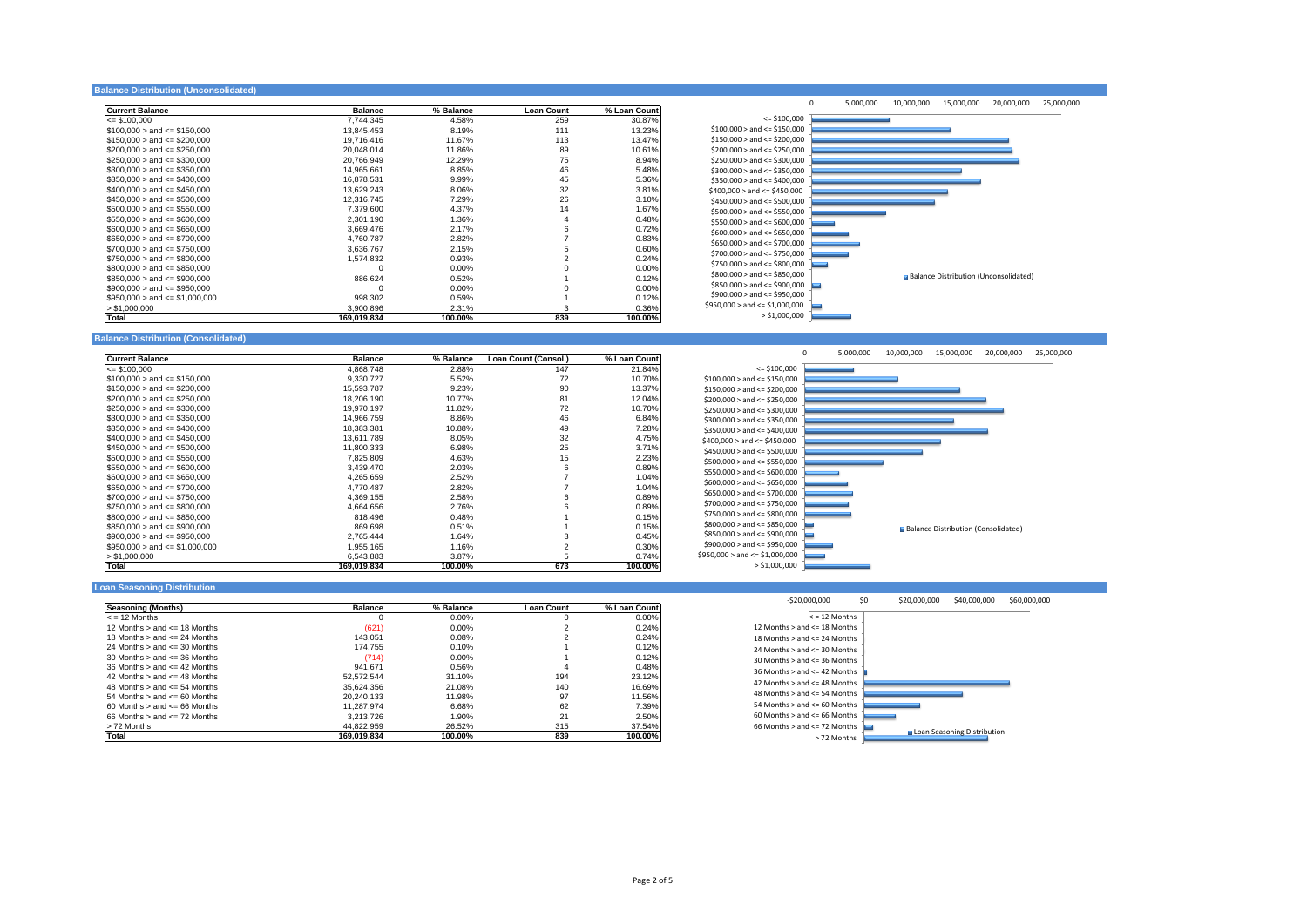#### **Balance Distribution (Unconsolidated)**

| <b>Current Balance</b>             | <b>Balance</b> | % Balance | <b>Loan Count</b> | % Loan Count |
|------------------------------------|----------------|-----------|-------------------|--------------|
| $= $100.000$                       | 7.744.345      | 4.58%     | 259               | 30.87%       |
| $$100.000 >$ and $\leq$ \$150.000  | 13.845.453     | 8.19%     | 111               | 13.23%       |
| $$150,000 >$ and $\leq$ \$200,000  | 19,716,416     | 11.67%    | 113               | 13.47%       |
| $$200.000 >$ and $\leq$ \$250.000  | 20.048.014     | 11.86%    | 89                | 10.61%       |
| $$250,000 >$ and $\leq$ \$300,000  | 20.766.949     | 12.29%    | 75                | 8.94%        |
| $$300,000 >$ and $\leq$ \$350,000  | 14,965,661     | 8.85%     | 46                | 5.48%        |
| $$350,000 >$ and $\leq$ \$400,000  | 16,878,531     | 9.99%     | 45                | 5.36%        |
| $$400,000 >$ and $\leq $450,000$   | 13.629.243     | 8.06%     | 32                | 3.81%        |
| $$450.000 >$ and $\leq$ \$500.000  | 12.316.745     | 7.29%     | 26                | 3.10%        |
| $$500,000 >$ and $\leq$ \$550,000  | 7.379.600      | 4.37%     | 14                | 1.67%        |
| $$550.000 >$ and $\leq$ \$600.000  | 2,301,190      | 1.36%     | 4                 | 0.48%        |
| $$600,000 >$ and $\leq$ \$650,000  | 3.669.476      | 2.17%     |                   | 0.72%        |
| $$650,000 >$ and $\leq$ \$700,000  | 4,760,787      | 2.82%     |                   | 0.83%        |
| $$700.000 >$ and $\leq$ \$750.000  | 3,636,767      | 2.15%     |                   | 0.60%        |
| $$750,000 >$ and $\leq$ \$800,000  | 1,574,832      | 0.93%     |                   | 0.24%        |
| $$800.000 >$ and $\leq$ \$850.000  |                | $0.00\%$  |                   | 0.00%        |
| $$850,000 >$ and $\leq$ \$900,000  | 886.624        | 0.52%     |                   | 0.12%        |
| $$900.000 >$ and $\leq$ \$950.000  | n              | $0.00\%$  |                   | 0.00%        |
| $$950,000 >$ and $\leq $1,000,000$ | 998,302        | 0.59%     |                   | 0.12%        |
| > \$1,000,000                      | 3.900.896      | 2.31%     |                   | 0.36%        |
| Total                              | 169 019 834    | 100 00%   | 839               | 100.00%      |



## **Balance Distribution (Consolidated)**

| <b>Current Balance</b>             | <b>Balance</b> | % Balance | Loan Count (Consol.) | % Loan Count |
|------------------------------------|----------------|-----------|----------------------|--------------|
| $\leq$ \$100.000                   | 4,868,748      | 2.88%     | 147                  | 21.84%       |
| $$100.000 >$ and $\leq$ \$150,000  | 9,330,727      | 5.52%     | 72                   | 10.70%       |
| $$150,000 >$ and $\leq$ \$200,000  | 15,593,787     | 9.23%     | 90                   | 13.37%       |
| $$200,000 >$ and <= \$250,000      | 18,206,190     | 10.77%    | 81                   | 12.04%       |
| $$250.000 >$ and $\leq$ \$300.000  | 19.970.197     | 11.82%    | 72                   | 10.70%       |
| $$300.000 >$ and $\leq$ \$350.000  | 14.966.759     | 8.86%     | 46                   | 6.84%        |
| $$350,000 >$ and $\leq$ \$400,000  | 18,383,381     | 10.88%    | 49                   | 7.28%        |
| $$400.000 >$ and $\leq$ \$450.000  | 13.611.789     | 8.05%     | 32                   | 4.75%        |
| $$450,000 >$ and $\leq$ \$500,000  | 11,800,333     | 6.98%     | 25                   | 3.71%        |
| $$500,000 >$ and <= \$550,000      | 7,825,809      | 4.63%     | 15                   | 2.23%        |
| $$550.000 >$ and $\leq$ \$600,000  | 3,439,470      | 2.03%     | 6                    | 0.89%        |
| $$600,000 >$ and $\leq$ \$650,000  | 4,265,659      | 2.52%     |                      | 1.04%        |
| $$650.000 >$ and $\leq$ \$700.000  | 4,770,487      | 2.82%     |                      | 1.04%        |
| $$700.000 >$ and $\leq$ \$750,000  | 4,369,155      | 2.58%     | 6                    | 0.89%        |
| $$750,000 >$ and $\leq$ \$800,000  | 4.664.656      | 2.76%     | հ                    | 0.89%        |
| $$800,000 >$ and $\leq$ \$850,000  | 818,496        | 0.48%     |                      | 0.15%        |
| $$850,000 >$ and <= \$900,000      | 869.698        | 0.51%     |                      | 0.15%        |
| $$900,000 >$ and $\leq$ \$950,000  | 2.765.444      | 1.64%     |                      | 0.45%        |
| $$950,000 >$ and $\leq $1,000,000$ | 1,955,165      | 1.16%     |                      | 0.30%        |
| > \$1,000,000                      | 6.543.883      | 3.87%     | 5                    | 0.74%        |
| Total                              | 169,019,834    | 100.00%   | 673                  | 100.00%      |



## **Loan Seasoning Distribution**

| <b>Seasoning (Months)</b>            | <b>Balance</b> | % Balance | <b>Loan Count</b> | % Loan Count |
|--------------------------------------|----------------|-----------|-------------------|--------------|
| $\epsilon$ = 12 Months               |                | $0.00\%$  | $\Omega$          | $0.00\%$     |
| 12 Months $>$ and $\leq$ 18 Months   | (621)          | $0.00\%$  |                   | 0.24%        |
| 18 Months $>$ and $\leq$ 24 Months   | 143.051        | 0.08%     |                   | 0.24%        |
| 24 Months $>$ and $\leq$ 30 Months   | 174.755        | 0.10%     |                   | 0.12%        |
| $30$ Months $>$ and $\leq$ 36 Months | (714)          | $0.00\%$  |                   | 0.12%        |
| $36$ Months $>$ and $\leq$ 42 Months | 941.671        | 0.56%     | 4                 | 0.48%        |
| 42 Months $>$ and $\leq$ 48 Months   | 52.572.544     | 31.10%    | 194               | 23.12%       |
| 48 Months $>$ and $\leq$ 54 Months   | 35.624.356     | 21.08%    | 140               | 16.69%       |
| $54$ Months $>$ and $\leq 60$ Months | 20.240.133     | 11.98%    | 97                | 11.56%       |
| $60$ Months $>$ and $\leq$ 66 Months | 11.287.974     | 6.68%     | 62                | 7.39%        |
| 66 Months $>$ and $\leq$ 72 Months   | 3.213.726      | 1.90%     | 21                | 2.50%        |
| > 72 Months                          | 44.822.959     | 26.52%    | 315               | 37.54%       |
| Total                                | 169.019.834    | 100.00%   | 839               | 100.00%      |

| $-520.000.000$                       | \$0 | \$20,000,000 | \$40,000,000                | \$60,000,000 |
|--------------------------------------|-----|--------------|-----------------------------|--------------|
| $\le$ = 12 Months                    |     |              |                             |              |
| 12 Months > and <= 18 Months         |     |              |                             |              |
| 18 Months $>$ and $<$ = 24 Months    |     |              |                             |              |
| 24 Months $>$ and $\leq$ 30 Months   |     |              |                             |              |
| $30$ Months $>$ and $\leq$ 36 Months |     |              |                             |              |
| $36$ Months $>$ and $\leq$ 42 Months |     |              |                             |              |
| 42 Months $>$ and $\leq$ 48 Months   |     |              |                             |              |
| 48 Months $>$ and $\leq$ 54 Months   |     |              |                             |              |
| 54 Months $>$ and $\leq$ 60 Months   |     |              |                             |              |
| $60$ Months $>$ and $\leq$ 66 Months |     |              |                             |              |
| 66 Months $>$ and $\leq$ 72 Months   |     |              |                             |              |
| > 72 Months                          |     |              | Loan Seasoning Distribution |              |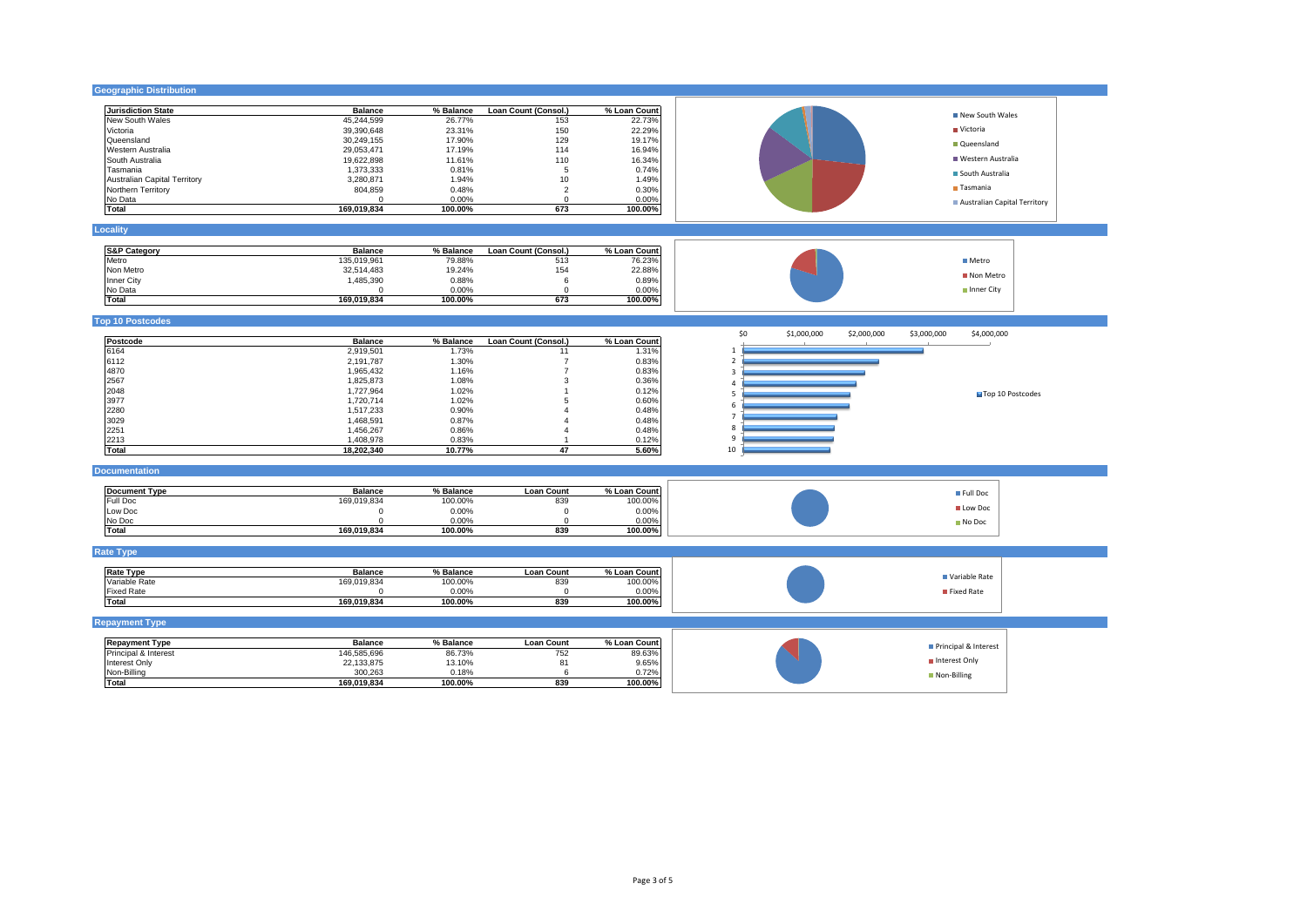| <b>Geographic Distribution</b>      |                         |                  |                      |                  |                                                                 |
|-------------------------------------|-------------------------|------------------|----------------------|------------------|-----------------------------------------------------------------|
| <b>Jurisdiction State</b>           | <b>Balance</b>          | % Balance        | Loan Count (Consol.) | % Loan Count     |                                                                 |
| New South Wales                     | 45,244,599              | 26.77%           | 153                  | 22.73%           | New South Wales                                                 |
| Victoria                            | 39,390,648              | 23.31%           | 150                  | 22.29%           | Victoria                                                        |
| Queensland                          | 30,249,155              | 17.90%           | 129                  | 19.17%           |                                                                 |
| Western Australia                   | 29,053,471              | 17.19%           | 114                  | 16.94%           | Oueensland                                                      |
| South Australia                     | 19,622,898              | 11.61%           | 110                  | 16.34%           | Western Australia                                               |
| Tasmania                            | 1,373,333               | 0.81%            | 5                    | 0.74%            |                                                                 |
|                                     | 3,280,871               | 1.94%            | 10                   | 1.49%            | South Australia                                                 |
| <b>Australian Capital Territory</b> | 804,859                 | 0.48%            | $\overline{2}$       | 0.30%            | Tasmania                                                        |
| Northern Territory                  |                         |                  |                      |                  |                                                                 |
| No Data<br>Total                    | $\Omega$<br>169,019,834 | 0.00%<br>100.00% | $\mathbf 0$<br>673   | 0.00%<br>100.00% | Australian Capital Territory                                    |
|                                     |                         |                  |                      |                  |                                                                 |
| Locality                            |                         |                  |                      |                  |                                                                 |
| <b>S&amp;P Category</b>             | <b>Balance</b>          | % Balance        | Loan Count (Consol.) | % Loan Count     |                                                                 |
| Metro                               | 135,019,961             | 79.88%           | 513                  | 76.23%           | <b>■</b> Metro                                                  |
| Non Metro                           | 32,514,483              | 19.24%           | 154                  | 22.88%           |                                                                 |
| Inner City                          | 1,485,390               | 0.88%            | 6                    | 0.89%            | Non Metro                                                       |
| No Data                             | $\Omega$                | 0.00%            | $\Omega$             | 0.00%            | Inner City                                                      |
| Total                               | 169,019,834             | 100.00%          | 673                  | 100.00%          |                                                                 |
| <b>Top 10 Postcodes</b>             |                         |                  |                      |                  |                                                                 |
| Postcode                            | <b>Balance</b>          | % Balance        | Loan Count (Consol.) | % Loan Count     | \$0<br>\$1,000,000<br>\$2,000,000<br>\$3,000,000<br>\$4,000,000 |
| 6164                                |                         |                  | 11                   | 1.31%            | -1                                                              |
|                                     | 2,919,501               | 1.73%            | $\overline{7}$       |                  | $\mathcal{P}$                                                   |
| 6112                                | 2,191,787               | 1.30%            |                      | 0.83%            |                                                                 |
| 4870                                | 1,965,432               | 1.16%            | $\overline{7}$       | 0.83%            | $\overline{\mathbf{3}}$                                         |
| 2567                                | 1,825,873               | 1.08%            | 3                    | 0.36%            | Δ                                                               |
| 2048                                | 1,727,964               | 1.02%            |                      | 0.12%            | Top 10 Postcodes<br>5                                           |
| 3977                                | 1,720,714               | 1.02%            |                      | 0.60%            | -6                                                              |
| 2280                                | 1,517,233               | 0.90%            |                      | 0.48%            | $\overline{7}$                                                  |
| 3029                                | 1,468,591               | 0.87%            |                      | 0.48%            |                                                                 |
| 2251                                | 1,456,267               | 0.86%            |                      | 0.48%            | 8                                                               |
| 2213                                | 1,408,978               | 0.83%            |                      | 0.12%            | $\mathsf{q}$                                                    |
| Total                               | 18,202,340              | 10.77%           | 47                   | 5.60%            | 10                                                              |
| <b>Documentation</b>                |                         |                  |                      |                  |                                                                 |
| <b>Document Type</b>                | Balance                 | % Balance        | <b>Loan Count</b>    | % Loan Count     | Full Doc                                                        |
| Full Doc                            | 169,019,834             | 100.00%          | 839                  | 100.00%          |                                                                 |
| Low Doc                             | $\Omega$                | 0.00%            | $\mathbf 0$          | 0.00%            | <b>Low Doc</b>                                                  |
| No Doc                              | $\Omega$                | 0.00%            | $\Omega$             | 0.00%            | No Doc                                                          |
| Total                               | 169,019,834             | 100.00%          | 839                  | 100.00%          |                                                                 |
| <b>Rate Type</b>                    |                         |                  |                      |                  |                                                                 |
|                                     | <b>Balance</b>          | % Balance        | <b>Loan Count</b>    |                  |                                                                 |
| <b>Rate Type</b>                    |                         |                  |                      | % Loan Count     | Variable Rate                                                   |
| Variable Rate                       | 169,019,834             | 100.00%          | 839                  | 100.00%          |                                                                 |
| <b>Fixed Rate</b>                   | $\Omega$                | 0.00%            | $^{\circ}$           | 0.00%            | Fixed Rate                                                      |
| Total                               | 169,019,834             | 100.00%          | 839                  | 100.00%          |                                                                 |
| <b>Repayment Type</b>               |                         |                  |                      |                  |                                                                 |
| <b>Repayment Type</b>               | <b>Balance</b>          | % Balance        | <b>Loan Count</b>    | % Loan Count     | Principal & Interest                                            |
| Principal & Interest                | 146,585,696             | 86.73%           | 752                  | 89.63%           |                                                                 |
| Interest Only                       | 22,133,875              | 13.10%           | 81                   | 9.65%            | Interest Only                                                   |
| Non-Billing                         | 300,263                 | 0.18%            | 6                    | 0.72%            | Non-Billing                                                     |
| Total                               | 169,019,834             | 100.00%          | 839                  | 100.00%          |                                                                 |
|                                     |                         |                  |                      |                  |                                                                 |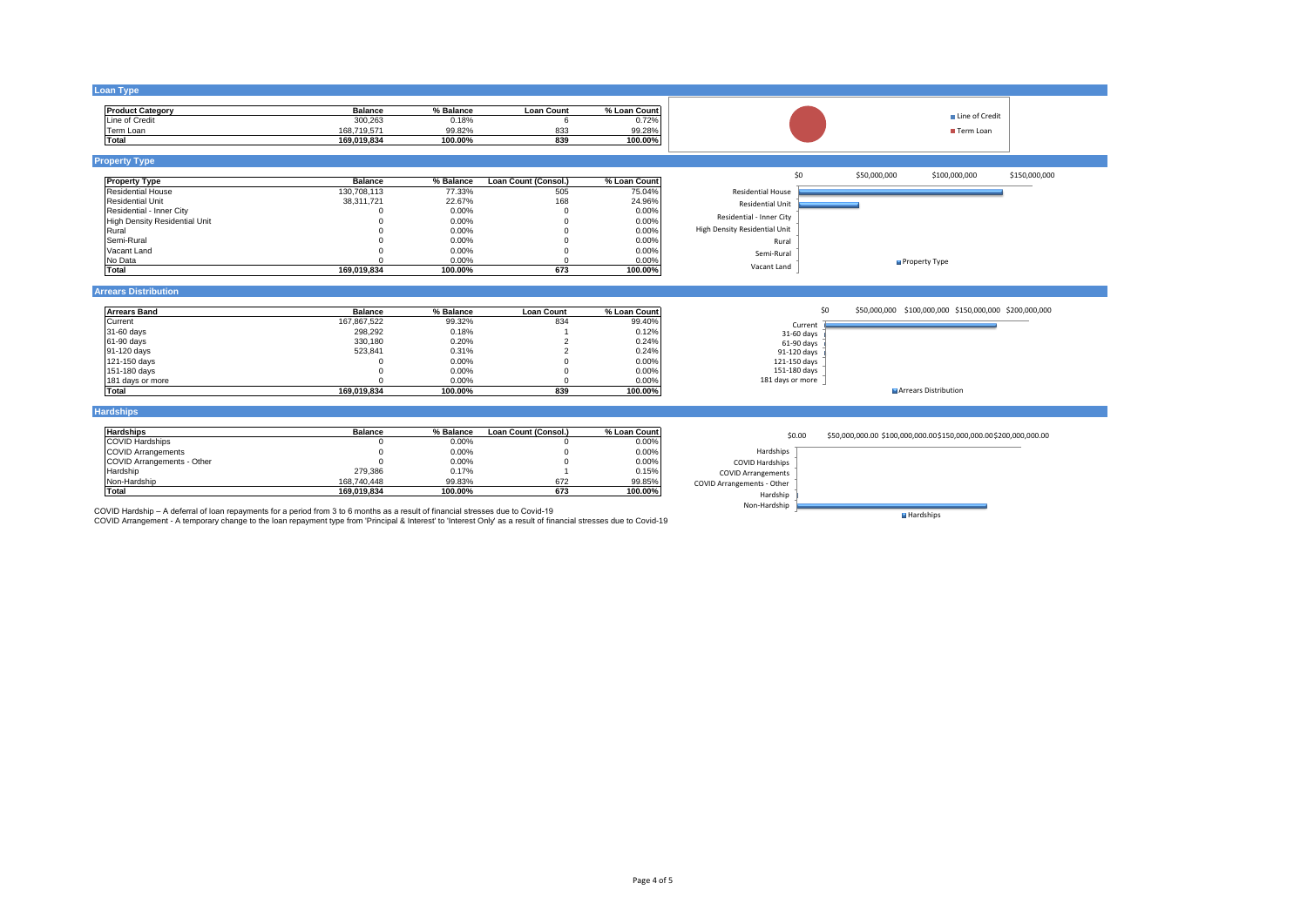| <b>Loan Type</b>                                                                                                                                             |                |           |                         |              |                               |                                                                    |
|--------------------------------------------------------------------------------------------------------------------------------------------------------------|----------------|-----------|-------------------------|--------------|-------------------------------|--------------------------------------------------------------------|
| <b>Product Category</b>                                                                                                                                      | <b>Balance</b> | % Balance | <b>Loan Count</b>       | % Loan Count |                               |                                                                    |
| Line of Credit                                                                                                                                               | 300,263        | 0.18%     | 6                       | 0.72%        |                               | ■ Line of Credit                                                   |
| Term Loan                                                                                                                                                    | 168,719,571    | 99.82%    | 833                     | 99.28%       |                               | Term Loan                                                          |
| Total                                                                                                                                                        | 169.019.834    | 100.00%   | 839                     | 100.00%      |                               |                                                                    |
| <b>Property Type</b>                                                                                                                                         |                |           |                         |              |                               |                                                                    |
| <b>Property Type</b>                                                                                                                                         | <b>Balance</b> | % Balance | Loan Count (Consol.)    | % Loan Count | \$0                           | \$50,000,000<br>\$150,000,000<br>\$100,000,000                     |
| <b>Residential House</b>                                                                                                                                     | 130,708,113    | 77.33%    | 505                     | 75.04%       | <b>Residential House</b>      |                                                                    |
| <b>Residential Unit</b>                                                                                                                                      | 38,311,721     | 22.67%    | 168                     | 24.96%       |                               |                                                                    |
| Residential - Inner City                                                                                                                                     |                | 0.00%     | $\Omega$                | 0.00%        | <b>Residential Unit</b>       |                                                                    |
| <b>High Density Residential Unit</b>                                                                                                                         |                | 0.00%     | $\Omega$                | 0.00%        | Residential - Inner City      |                                                                    |
| Rural                                                                                                                                                        |                | 0.00%     | $\Omega$                | 0.00%        | High Density Residential Unit |                                                                    |
| Semi-Rural                                                                                                                                                   |                | 0.00%     | $\Omega$                | 0.00%        | Rural                         |                                                                    |
| Vacant Land                                                                                                                                                  |                | 0.00%     | $\Omega$                | 0.00%        |                               |                                                                    |
| No Data                                                                                                                                                      | $\Omega$       | 0.00%     |                         | 0.00%        | Semi-Rural                    |                                                                    |
| <b>Total</b>                                                                                                                                                 | 169.019.834    | 100.00%   | 673                     | 100.00%      | Vacant Land                   | Property Type                                                      |
|                                                                                                                                                              |                |           |                         |              |                               |                                                                    |
|                                                                                                                                                              |                |           |                         |              |                               |                                                                    |
|                                                                                                                                                              |                |           |                         |              |                               |                                                                    |
|                                                                                                                                                              | <b>Balance</b> | % Balance | <b>Loan Count</b>       | % Loan Count | \$0                           | \$50,000,000 \$100,000,000 \$150,000,000 \$200,000,000             |
|                                                                                                                                                              | 167,867,522    | 99.32%    | 834                     | 99.40%       |                               |                                                                    |
|                                                                                                                                                              | 298,292        | 0.18%     |                         | 0.12%        | Current<br>31-60 days         |                                                                    |
|                                                                                                                                                              | 330,180        | 0.20%     |                         | 0.24%        | 61-90 days                    |                                                                    |
|                                                                                                                                                              | 523,841        | 0.31%     | $\overline{\mathbf{c}}$ | 0.24%        | 91-120 days                   |                                                                    |
|                                                                                                                                                              | $\Omega$       | 0.00%     | $\Omega$                | 0.00%        | 121-150 days                  |                                                                    |
|                                                                                                                                                              | $\Omega$       | 0.00%     | $\Omega$                | 0.00%        | 151-180 days                  |                                                                    |
| <b>Arrears Distribution</b><br><b>Arrears Band</b><br>Current<br>31-60 days<br>61-90 days<br>91-120 days<br>121-150 days<br>151-180 days<br>181 days or more | $\Omega$       | 0.00%     | $\Omega$                | 0.00%        | 181 days or more              |                                                                    |
| <b>Total</b>                                                                                                                                                 | 169.019.834    | 100.00%   | 839                     | 100.00%      |                               | Arrears Distribution                                               |
|                                                                                                                                                              |                |           |                         |              |                               |                                                                    |
|                                                                                                                                                              | <b>Balance</b> | % Balance | Loan Count (Consol.)    | % Loan Count |                               |                                                                    |
|                                                                                                                                                              | $\Omega$       |           | $\Omega$                |              | \$0.00                        | \$50,000,000.00 \$100,000,000.00 \$150,000,000.00 \$200,000,000.00 |
|                                                                                                                                                              | $\Omega$       | 0.00%     | $\Omega$                | 0.00%        | Hardships                     |                                                                    |
|                                                                                                                                                              | $\Omega$       | 0.00%     | $\Omega$                | 0.00%        |                               |                                                                    |
|                                                                                                                                                              |                | 0.00%     |                         | 0.00%        | COVID Hardships               |                                                                    |
|                                                                                                                                                              | 279.386        | 0.17%     |                         | 0.15%        | <b>COVID Arrangements</b>     |                                                                    |
| <b>Hardships</b><br><b>Hardships</b><br><b>COVID Hardships</b><br><b>COVID Arrangements</b><br>COVID Arrangements - Other<br>Hardship<br>Non-Hardship        | 168,740,448    | 99.83%    | 672                     | 99.85%       | COVID Arrangements - Other    |                                                                    |
|                                                                                                                                                              | 169.019.834    | 100.00%   | 673                     | 100.00%      | Hardship                      |                                                                    |
| Total<br>COVID Hardship - A deferral of loan repayments for a period from 3 to 6 months as a result of financial stresses due to Covid-19                    |                |           |                         |              | Non-Hardship                  | Hardships                                                          |